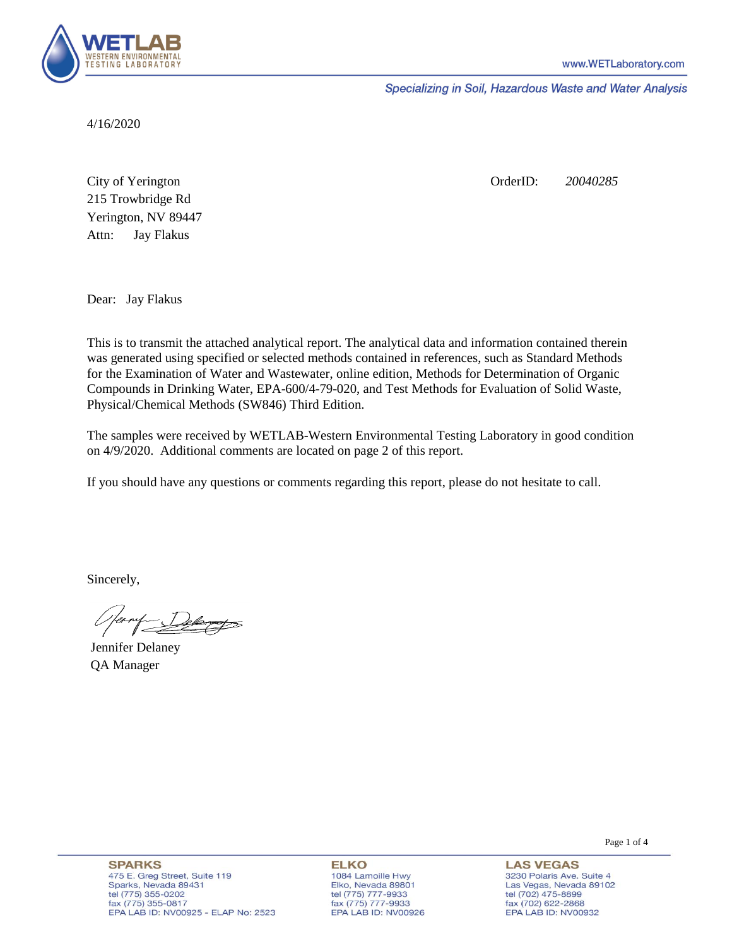

Specializing in Soil, Hazardous Waste and Water Analysis

4/16/2020

Attn: City of Yerington 215 Trowbridge Rd Jay Flakus Yerington, NV 89447 OrderID: *20040285*

Dear: Jay Flakus

This is to transmit the attached analytical report. The analytical data and information contained therein was generated using specified or selected methods contained in references, such as Standard Methods for the Examination of Water and Wastewater, online edition, Methods for Determination of Organic Compounds in Drinking Water, EPA-600/4-79-020, and Test Methods for Evaluation of Solid Waste, Physical/Chemical Methods (SW846) Third Edition.

The samples were received by WETLAB-Western Environmental Testing Laboratory in good condition on 4/9/2020. Additional comments are located on page 2 of this report.

If you should have any questions or comments regarding this report, please do not hesitate to call.

Sincerely,

Jennifer Delaney QA Manager

**SPARKS** 475 E. Greg Street, Suite 119 Sparks, Nevada 89431 tel (775) 355-0202 fax (775) 355-0817 EPA LAB ID: NV00925 - ELAP No: 2523

**ELKO** 1084 Lamoille Hwy Elko, Nevada 89801 tel (775) 777-9933<br>fax (775) 777-9933 EPA LAB ID: NV00926 Page 1 of 4

**LAS VEGAS** 3230 Polaris Ave. Suite 4 Las Vegas, Nevada 89102 tel (702) 475-8899 fax (702) 622-2868 EPA LAB ID: NV00932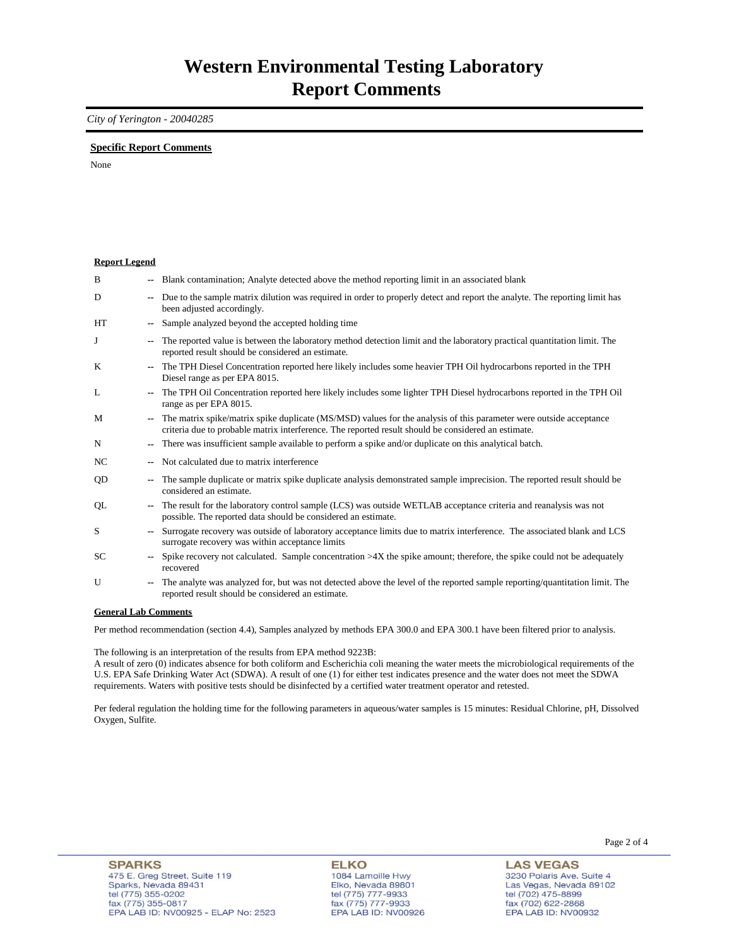## *City of Yerington - 20040285*

## **Specific Report Comments**

None

| <b>Report Legend</b> |                          |                                                                                                                                                                                                                           |
|----------------------|--------------------------|---------------------------------------------------------------------------------------------------------------------------------------------------------------------------------------------------------------------------|
| B                    |                          | Blank contamination; Analyte detected above the method reporting limit in an associated blank                                                                                                                             |
| D                    |                          | Due to the sample matrix dilution was required in order to properly detect and report the analyte. The reporting limit has<br>been adjusted accordingly.                                                                  |
| <b>HT</b>            | $\overline{\phantom{a}}$ | Sample analyzed beyond the accepted holding time                                                                                                                                                                          |
| J                    | $\overline{\phantom{a}}$ | The reported value is between the laboratory method detection limit and the laboratory practical quantitation limit. The<br>reported result should be considered an estimate.                                             |
| K                    |                          | The TPH Diesel Concentration reported here likely includes some heavier TPH Oil hydrocarbons reported in the TPH<br>Diesel range as per EPA 8015.                                                                         |
| L                    |                          | The TPH Oil Concentration reported here likely includes some lighter TPH Diesel hydrocarbons reported in the TPH Oil<br>range as per EPA 8015.                                                                            |
| M                    | $\mathbf{u}$             | The matrix spike/matrix spike duplicate (MS/MSD) values for the analysis of this parameter were outside acceptance<br>criteria due to probable matrix interference. The reported result should be considered an estimate. |
| N                    | $\overline{\phantom{a}}$ | There was insufficient sample available to perform a spike and/or duplicate on this analytical batch.                                                                                                                     |
| NC.                  |                          | Not calculated due to matrix interference                                                                                                                                                                                 |
| QD                   |                          | The sample duplicate or matrix spike duplicate analysis demonstrated sample imprecision. The reported result should be<br>considered an estimate.                                                                         |
| QL                   |                          | The result for the laboratory control sample (LCS) was outside WETLAB acceptance criteria and reanalysis was not<br>possible. The reported data should be considered an estimate.                                         |
| S                    |                          | Surrogate recovery was outside of laboratory acceptance limits due to matrix interference. The associated blank and LCS<br>surrogate recovery was within acceptance limits                                                |
| SC.                  |                          | Spike recovery not calculated. Sample concentration $>4X$ the spike amount; therefore, the spike could not be adequately<br>recovered                                                                                     |
| U                    | $\overline{\phantom{a}}$ | The analyte was analyzed for, but was not detected above the level of the reported sample reporting/quantitation limit. The<br>reported result should be considered an estimate.                                          |
| Conoral Lah Commonte |                          |                                                                                                                                                                                                                           |

**General Lab Comments**

Per method recommendation (section 4.4), Samples analyzed by methods EPA 300.0 and EPA 300.1 have been filtered prior to analysis.

The following is an interpretation of the results from EPA method 9223B:

A result of zero (0) indicates absence for both coliform and Escherichia coli meaning the water meets the microbiological requirements of the U.S. EPA Safe Drinking Water Act (SDWA). A result of one (1) for either test indicates presence and the water does not meet the SDWA requirements. Waters with positive tests should be disinfected by a certified water treatment operator and retested.

Per federal regulation the holding time for the following parameters in aqueous/water samples is 15 minutes: Residual Chlorine, pH, Dissolved Oxygen, Sulfite.

**LAS VEGAS** 3230 Polaris Ave. Suite 4 Las Vegas, Nevada 89102 tel (702) 475-8899 fax (702) 47 3-8899<br>fax (702) 622-2868<br>EPA LAB ID: NV00932

Page 2 of 4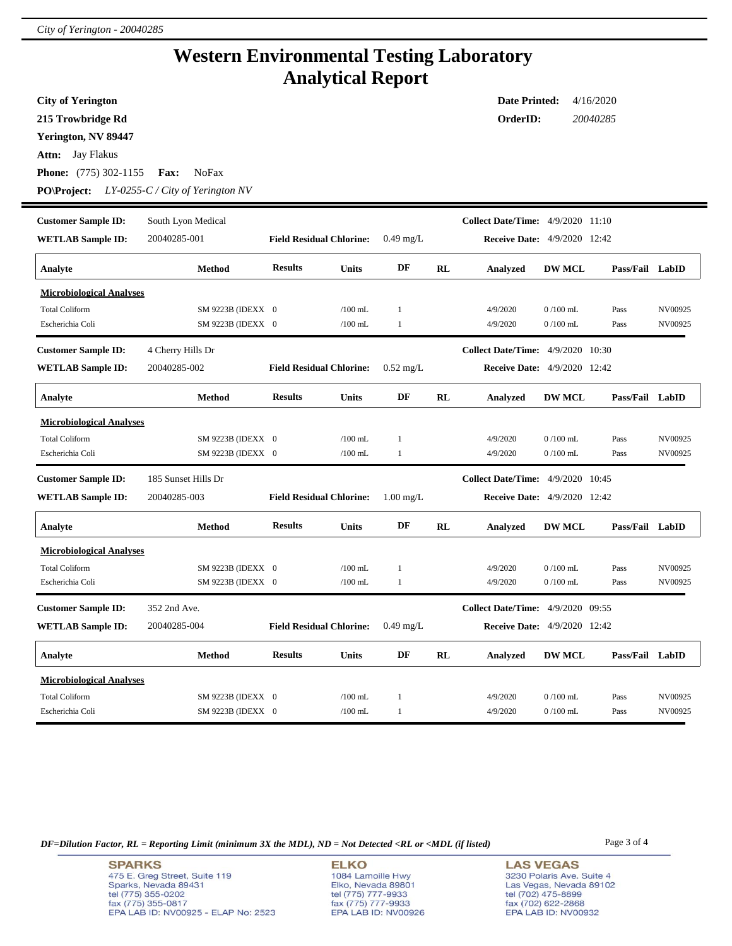## **Western Environmental Testing Laboratory Analytical Report**

| <b>City of Yerington</b>        | <b>Date Printed:</b><br>4/16/2020    |                                 |              |                     |                      |                                          |                |                 |         |  |  |  |
|---------------------------------|--------------------------------------|---------------------------------|--------------|---------------------|----------------------|------------------------------------------|----------------|-----------------|---------|--|--|--|
| 215 Trowbridge Rd               |                                      |                                 |              |                     | 20040285<br>OrderID: |                                          |                |                 |         |  |  |  |
| Yerington, NV 89447             |                                      |                                 |              |                     |                      |                                          |                |                 |         |  |  |  |
| Jay Flakus<br>Attn:             |                                      |                                 |              |                     |                      |                                          |                |                 |         |  |  |  |
| <b>Phone:</b> (775) 302-1155    | <b>NoFax</b><br><b>Fax:</b>          |                                 |              |                     |                      |                                          |                |                 |         |  |  |  |
| <b>PO\Project:</b>              | $LY$ -0255- $C/City$ of Yerington NV |                                 |              |                     |                      |                                          |                |                 |         |  |  |  |
| <b>Customer Sample ID:</b>      | South Lyon Medical                   |                                 |              |                     |                      | <b>Collect Date/Time:</b> 4/9/2020 11:10 |                |                 |         |  |  |  |
| <b>WETLAB Sample ID:</b>        | 20040285-001                         | <b>Field Residual Chlorine:</b> |              | $0.49$ mg/L         |                      | <b>Receive Date:</b> 4/9/2020 12:42      |                |                 |         |  |  |  |
| Analyte                         | Method                               | <b>Results</b>                  | <b>Units</b> | DF                  | RL                   | Analyzed                                 | <b>DW MCL</b>  | Pass/Fail LabID |         |  |  |  |
| <b>Microbiological Analyses</b> |                                      |                                 |              |                     |                      |                                          |                |                 |         |  |  |  |
| <b>Total Coliform</b>           | SM 9223B (IDEXX 0                    |                                 | $/100$ mL    | 1                   |                      | 4/9/2020                                 | $0/100$ mL     | Pass            | NV00925 |  |  |  |
| Escherichia Coli                | SM 9223B (IDEXX 0                    |                                 | $/100$ mL    | $\mathbf{1}$        |                      | 4/9/2020                                 | $0/100$ mL     | Pass            | NV00925 |  |  |  |
| <b>Customer Sample ID:</b>      | 4 Cherry Hills Dr                    |                                 |              |                     |                      | <b>Collect Date/Time:</b> 4/9/2020 10:30 |                |                 |         |  |  |  |
| <b>WETLAB Sample ID:</b>        | 20040285-002                         | <b>Field Residual Chlorine:</b> |              | $0.52 \text{ mg/L}$ |                      | <b>Receive Date:</b> 4/9/2020 12:42      |                |                 |         |  |  |  |
| Analyte                         | Method                               | <b>Results</b>                  | <b>Units</b> | DF                  | RL                   | Analyzed                                 | <b>DW MCL</b>  | Pass/Fail LabID |         |  |  |  |
| <b>Microbiological Analyses</b> |                                      |                                 |              |                     |                      |                                          |                |                 |         |  |  |  |
| <b>Total Coliform</b>           | SM 9223B (IDEXX 0                    |                                 | $/100$ mL    | 1                   |                      | 4/9/2020                                 | $0/100$ mL     | Pass            | NV00925 |  |  |  |
| Escherichia Coli                | SM 9223B (IDEXX 0                    |                                 | $/100$ mL    | 1                   |                      | 4/9/2020                                 | $0/100$ mL     | Pass            | NV00925 |  |  |  |
| <b>Customer Sample ID:</b>      | 185 Sunset Hills Dr                  |                                 |              |                     |                      | <b>Collect Date/Time:</b>                | 4/9/2020 10:45 |                 |         |  |  |  |
| <b>WETLAB Sample ID:</b>        | 20040285-003                         | <b>Field Residual Chlorine:</b> |              | $1.00 \text{ mg/L}$ |                      | <b>Receive Date:</b> 4/9/2020 12:42      |                |                 |         |  |  |  |
| Analyte                         | Method                               | <b>Results</b>                  | <b>Units</b> | DF                  | RL                   | Analyzed                                 | <b>DW MCL</b>  | Pass/Fail LabID |         |  |  |  |
| <b>Microbiological Analyses</b> |                                      |                                 |              |                     |                      |                                          |                |                 |         |  |  |  |
| <b>Total Coliform</b>           | SM 9223B (IDEXX 0                    |                                 | $/100$ mL    | 1                   |                      | 4/9/2020                                 | $0/100$ mL     | Pass            | NV00925 |  |  |  |
| Escherichia Coli                | SM 9223B (IDEXX 0                    |                                 | $/100$ mL    | 1                   |                      | 4/9/2020                                 | $0/100$ mL     | Pass            | NV00925 |  |  |  |
| <b>Customer Sample ID:</b>      | 352 2nd Ave.                         |                                 |              |                     |                      | <b>Collect Date/Time:</b> 4/9/2020 09:55 |                |                 |         |  |  |  |
| <b>WETLAB Sample ID:</b>        | 20040285-004                         | <b>Field Residual Chlorine:</b> |              | $0.49$ mg/L         |                      | <b>Receive Date:</b> 4/9/2020 12:42      |                |                 |         |  |  |  |
| Analyte                         | Method                               | <b>Results</b>                  | <b>Units</b> | DF                  | RL                   | Analyzed                                 | <b>DW MCL</b>  | Pass/Fail LabID |         |  |  |  |
| <b>Microbiological Analyses</b> |                                      |                                 |              |                     |                      |                                          |                |                 |         |  |  |  |
| <b>Total Coliform</b>           | SM 9223B (IDEXX 0                    |                                 | $/100$ mL    | $\mathbf{1}$        |                      | 4/9/2020                                 | $0/100$ mL     | Pass            | NV00925 |  |  |  |
| Escherichia Coli                | SM 9223B (IDEXX 0                    |                                 | $/100$ mL    | $\mathbf{1}$        |                      | 4/9/2020                                 | $0/100$ mL     | Pass            | NV00925 |  |  |  |

*DF=Dilution Factor, RL = Reporting Limit (minimum 3X the MDL), ND = Not Detected <RL or <MDL (if listed)* Page 3 of 4

**SPARKS** 475 E. Greg Street, Suite 119 Sparks, Nevada 89431<br>tel (775) 355-0202<br>fax (775) 355-0817 EPA LAB ID: NV00925 - ELAP No: 2523

**ELKO** 1084 Lamoille Hwy Polyton, Nevada 89801<br>tel (775) 777-9933<br>fax (775) 777-9933<br>EPA LAB ID: NV00926

**LAS VEGAS** 3230 Polaris Ave. Suite 4 Las Vegas, Nevada 89102<br>tel (702) 475-8899<br>fax (702) 622-2868<br>EPA LAB ID: NV00932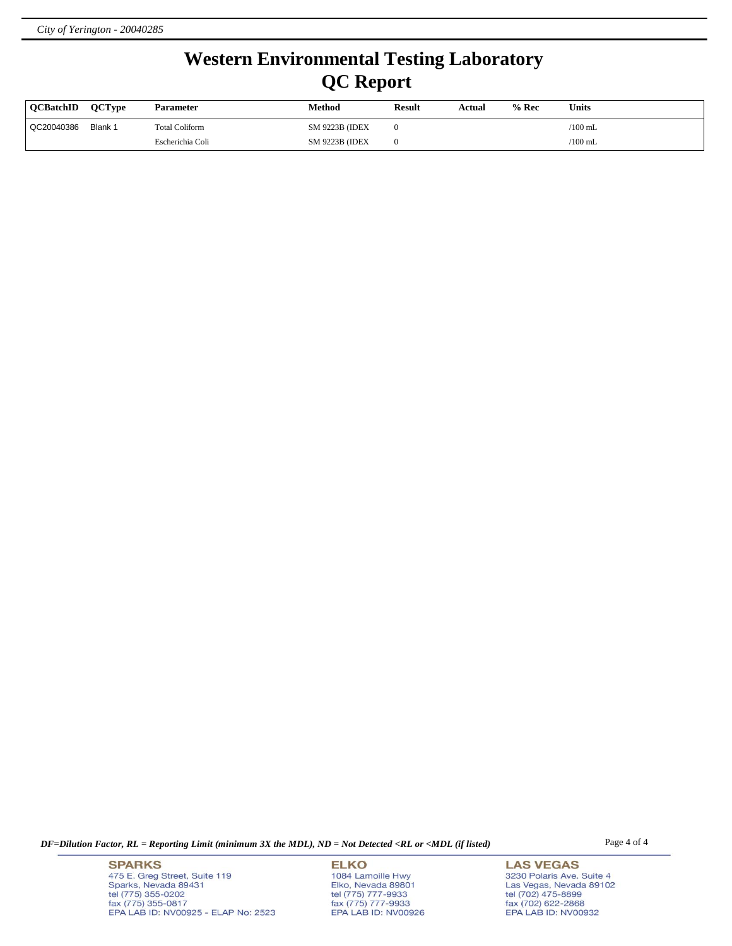## **Western Environmental Testing Laboratory QC Report**

| <b>OCBatchID</b> | <b>OCType</b> | <b>Parameter</b>      | Method                 | <b>Result</b> | Actual | $%$ Rec | Units           |
|------------------|---------------|-----------------------|------------------------|---------------|--------|---------|-----------------|
| QC20040386       | Blank 1       | <b>Total Coliform</b> | <b>SM 9223B (IDEX)</b> |               |        |         | $\sqrt{100}$ mL |
|                  |               | Escherichia Coli      | <b>SM 9223B (IDEX)</b> |               |        |         | $\sqrt{100}$ mL |

*DF=Dilution Factor, RL = Reporting Limit (minimum 3X the MDL), ND = Not Detected <RL or <MDL (if listed)* Page 4 of 4

**SPARKS** 475 E. Greg Street, Suite 119 Sparks, Nevada 89431<br>tel (775) 355-0202<br>fax (775) 355-0817 EPA LAB ID: NV00925 - ELAP No: 2523

**ELKO** 1084 Lamoille Hwy Polyton, Nevada 89801<br>tel (775) 777-9933<br>fax (775) 777-9933<br>EPA LAB ID: NV00926

**LAS VEGAS** 3230 Polaris Ave. Suite 4 Las Vegas, Nevada 89102<br>tel (702) 475-8899<br>fax (702) 622-2868<br>EPA LAB ID: NV00932